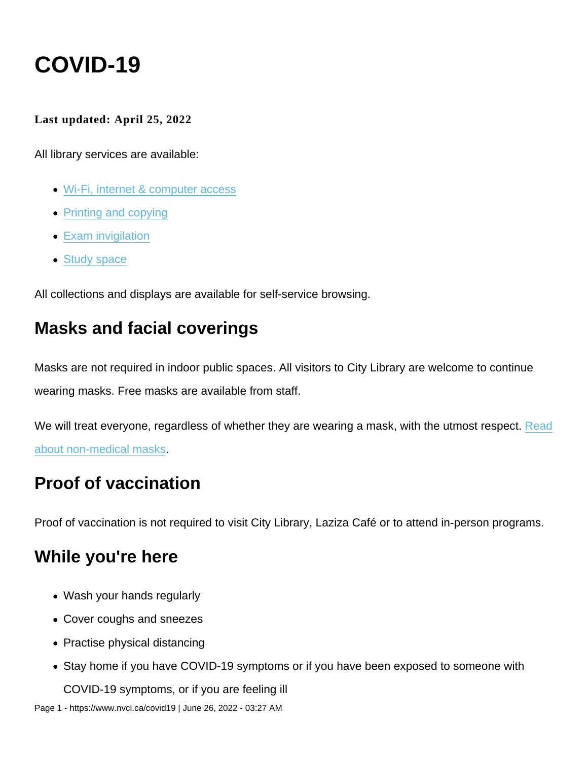# COVID-19

Last updated: April 25, 2022

All library services are available:

- [Wi-Fi, internet & computer access](https://www.nvcl.ca/wi-fi-internet-and-computer-access)
- [Printing and copying](https://www.nvcl.ca/print-copy-and-scan)
- [Exam invigilation](https://www.nvcl.ca/exam-invigilation)
- [Study space](https://www.nvcl.ca/spaces-you-can-use)

All collections and displays are available for self-service browsing.

#### Masks and facial coverings

Masks are not required in indoor public spaces. All visitors to City Library are welcome to continue wearing masks. Free masks are available from staff.

We will treat everyone, regardless of whether they are wearing a mask, with the utmost respect. [Read](http://www.bccdc.ca/health-info/diseases-conditions/covid-19/prevention-risks/masks) [about non-medical masks.](http://www.bccdc.ca/health-info/diseases-conditions/covid-19/prevention-risks/masks)

#### Proof of vaccination

Proof of vaccination is not required to visit City Library, Laziza Café or to attend in-person programs.

#### While you're here

- Wash your hands regularly
- Cover coughs and sneezes
- Practise physical distancing
- Stay home if you have COVID-19 symptoms or if you have been exposed to someone with

COVID-19 symptoms, or if you are feeling ill

Page 1 - https://www.nvcl.ca/covid19 | June 26, 2022 - 03:27 AM